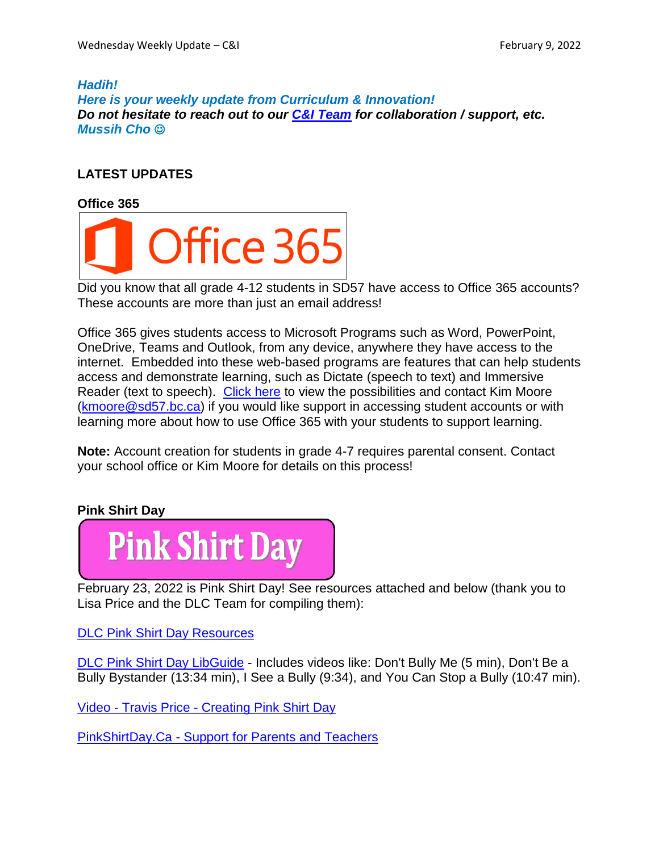#### *Hadih!*

*Here is your weekly update from Curriculum & Innovation! Do not hesitate to reach out to our C&I [Team](https://www.sd57curriculumhub.com/who-are-we) for collaboration / support, etc. Mussih Cho*

# **LATEST UPDATES**

**Office 365**



Did you know that all grade 4-12 students in SD57 have access to Office 365 accounts? These accounts are more than just an email address!

Office 365 gives students access to Microsoft Programs such as Word, PowerPoint, OneDrive, Teams and Outlook, from any device, anywhere they have access to the internet. Embedded into these web-based programs are features that can help students access and demonstrate learning, such as Dictate (speech to text) and Immersive Reader (text to speech). [Click](https://youtu.be/mxN3OYhXvns) here to view the possibilities and contact Kim Moore [\(kmoore@sd57.bc.ca\)](mailto:kmoore@sd57.bc.ca) if you would like support in accessing student accounts or with learning more about how to use Office 365 with your students to support learning.

**Note:** Account creation for students in grade 4-7 requires parental consent. Contact your school office or Kim Moore for details on this process!

### **Pink Shirt Day**



February 23, 2022 is Pink Shirt Day! See resources attached and below (thank you to Lisa Price and the DLC Team for compiling them):

DLC Pink Shirt Day [Resources](https://prin.ent.sirsidynix.net/client/en_US/dlc/?rm=PINK+SHIRT+DAY0%7C%7C%7C1%7C%7C%7C0%7C%7C%7Ctrue&dt=list)

DLC Pink Shirt Day [LibGuide](https://sd57.libguides.com/pinkshirt) - Includes videos like: Don't Bully Me (5 min), Don't Be a Bully Bystander (13:34 min), I See a Bully (9:34), and You Can Stop a Bully (10:47 min).

Video - Travis Price - [Creating](https://www.youtube.com/watch?v=Tb2a4nPBgUY) Pink Shirt Day

[PinkShirtDay.Ca](https://www.pinkshirtday.ca/support-for-parents-teachers) - Support for Parents and Teachers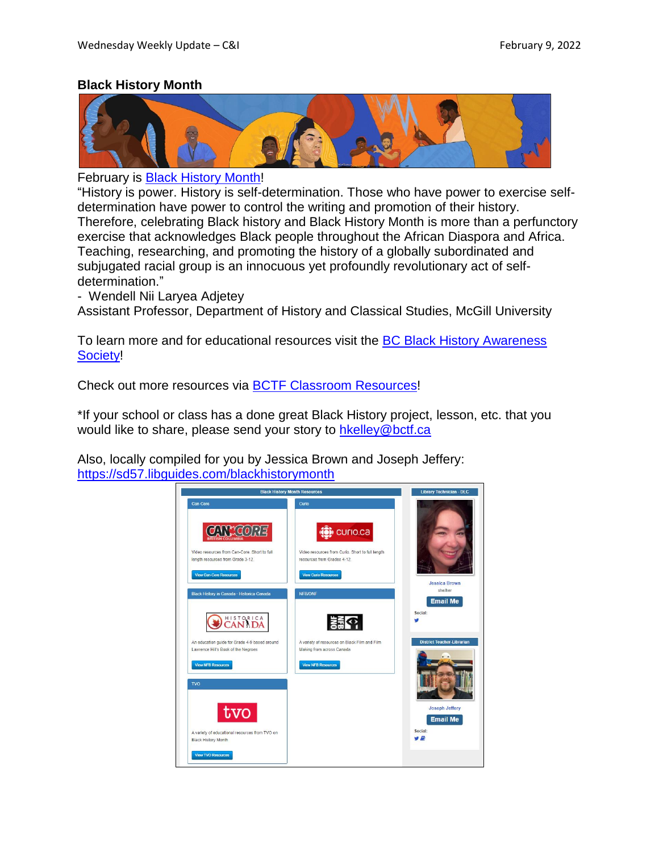### **Black History Month**



February is Black [History](https://www.canada.ca/en/canadian-heritage/campaigns/black-history-month.html) Month!

"History is power. History is self-determination. Those who have power to exercise selfdetermination have power to control the writing and promotion of their history. Therefore, celebrating Black history and Black History Month is more than a perfunctory exercise that acknowledges Black people throughout the African Diaspora and Africa. Teaching, researching, and promoting the history of a globally subordinated and subjugated racial group is an innocuous yet profoundly revolutionary act of selfdetermination."

- Wendell Nii Laryea Adjetey

Assistant Professor, Department of History and Classical Studies, McGill University

To learn more and for educational resources visit the **BC Black History [Awareness](https://bcblackhistory.ca/)** [Society!](https://bcblackhistory.ca/)

Check out more resources via BCTF Classroom [Resources!](https://www.bctf.ca/classroom-resources/professional-development-teaching-resources-search?keyword=black+history+month)

\*If your school or class has a done great Black History project, lesson, etc. that you would like to share, please send your story to [hkelley@bctf.ca](mailto:hkelley@bctf.ca)

Also, locally compiled for you by Jessica Brown and Joseph Jeffery: <https://sd57.libguides.com/blackhistorymonth>

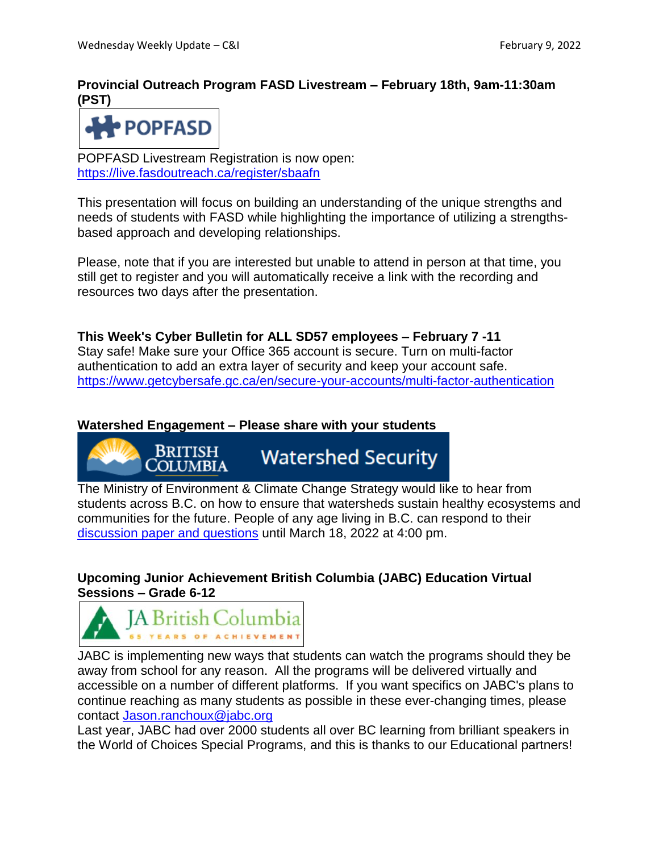# **Provincial Outreach Program FASD Livestream – February 18th, 9am-11:30am (PST)**



POPFASD Livestream Registration is now open: <https://live.fasdoutreach.ca/register/sbaafn>

This presentation will focus on building an understanding of the unique strengths and needs of students with FASD while highlighting the importance of utilizing a strengthsbased approach and developing relationships.

Please, note that if you are interested but unable to attend in person at that time, you still get to register and you will automatically receive a link with the recording and resources two days after the presentation.

**This Week's Cyber Bulletin for ALL SD57 employees – February 7 -11** Stay safe! Make sure your Office 365 account is secure. Turn on multi-factor authentication to add an extra layer of security and keep your account safe. <https://www.getcybersafe.gc.ca/en/secure-your-accounts/multi-factor-authentication>

## **Watershed Engagement – Please share with your students**

British **Watershed Security COLUMBIA** 

The Ministry of Environment & Climate Change Strategy would like to hear from students across B.C. on how to ensure that watersheds sustain healthy ecosystems and communities for the future. People of any age living in B.C. can respond to their [discussion](https://engage.gov.bc.ca/watershedsecurity) paper and questions until March 18, 2022 at 4:00 pm.

## **Upcoming Junior Achievement British Columbia (JABC) Education Virtual Sessions – Grade 6-12**



JABC is implementing new ways that students can watch the programs should they be away from school for any reason. All the programs will be delivered virtually and accessible on a number of different platforms. If you want specifics on JABC's plans to continue reaching as many students as possible in these ever-changing times, please contact [Jason.ranchoux@jabc.org](mailto:Jason.ranchoux@jabc.org)

Last year, JABC had over 2000 students all over BC learning from brilliant speakers in the World of Choices Special Programs, and this is thanks to our Educational partners!